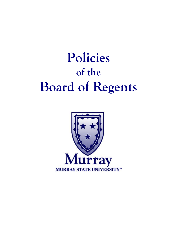# **Policies of the Board of Regents**

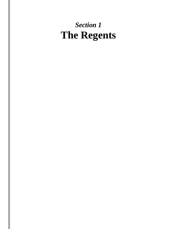# *Section 1* **The Regents**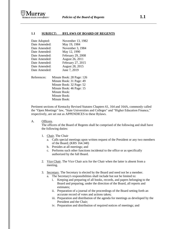

#### **1.1 SUBJECT: BYLAWS OF BOARD OF REGENTS**

| Date Adopted: | November 13, 1982 |
|---------------|-------------------|
| Date Amended: | May 19, 1984      |
| Date Amended: | November 3, 1984  |
| Date Amended: | May 12, 1990      |
| Date Amended: | February 29, 2008 |
| Date Amended: | August 26, 2011   |
| Date Amended: | February 27, 2015 |
| Date Amended: | August 28, 2015   |
| Date Amended: | June 7, 2019      |
|               |                   |

References: Minute Book: 28 Page: 126 Minute Book: 31 Page: 49 Minute Book: 32 Page: 52 Minute Book: 46 Page: 15 Minute Book: Minute Book: Minute Book:

Pertinent sections of Kentucky Revised Statutes Chapters 61, 164 and 164A, commonly called the "Open Meetings" law, "State Universities and Colleges" and "Higher Education Finance," respectively, are set out as APPENDICES to these Bylaws.

A. Officers.

The officers of the Board of Regents shall be comprised of the following and shall have the following duties:

- 1. Chair. The Chair
	- a. Calls special meetings upon written request of the President or any two members of the Board; (KRS 164.340)
	- b. Presides at all meetings; and
	- c. Performs such other functions incidental to the office or as specifically authorized by the full Board.
- 2. Vice Chair. The Vice Chair acts for the Chair when the latter is absent from a meeting.
- 3. Secretary. The Secretary is elected by the Board and need not be a member.
	- a. The Secretary's responsibilities shall include but not be limited to:
		- i. Keeping and preparing of all books, records, and papers belonging to the Board and preparing, under the direction of the Board, all reports and estimates;
		- ii. Preparation of a journal of the proceedings of the Board setting forth an accurate record of votes and actions taken;
		- iii. Preparation and distribution of the agenda for meetings as developed by the President and the Chair;
		- iv. Preparation and distribution of required notices of meetings; and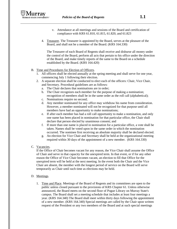- v. Attendance at all meetings and sessions of the Board and certification of compliance with KRS 61.810, 61.815, 61.820, and 61.823
- 4. Treasurer. The Treasurer is appointed by the Board, serves at the pleasure of the Board, and shall not be a member of the Board. (KRS 164.330)

The Treasurer of each Board of Regents shall receive and disburse all money under the control of the Board, perform all acts that pertain to his office under the direction of the Board, and make timely reports of the same to the Board on a schedule established by the Board. (KRS 164.420)

## B. Time and Procedures for Election of Officers.

- 1. All officers shall be elected annually at the spring meeting and shall serve for one year, commencing July 1 following their election.
- 2. A separate election shall be conducted to elect each of the officers: Chair, Vice Chair, and Secretary. Procedural guidelines are as follows:
	- a. The Chair declares that nominations are in order;
	- b. The Chair recognizes each member for the purpose of making a nomination; recognition of members shall be in the same order as the roll call (alphabetical);
	- c. Nominations require no second;
	- d. Any member nominated for any office may withdraw his name from consideration. However, a member nominated will not be recognized for that purpose until all members have had an opportunity to make nominations;
	- e. If after each member has had a roll call opportunity to make a nomination, and only one name has been placed in nomination for that particular office, the Chair shall declare that person elected by unanimous consent; and
	- f. If more than one name is placed in nomination for a particular office, a vote shall be taken. Names shall be voted upon in the same order in which the nomination occurred. The nominee first receiving an absolute majority shall be declared elected.
	- g. An election for Vice Chair and Secretary shall be held at the organizational meeting required within 30 days of the appointment of a new member. (KRS 164.330)
- C. Vacancies.

If the Office of Chair becomes vacant for any reason, the Vice Chair shall assume the Office of Chair and serve in that capacity for the unexpired term. In that event, or if for any other reason the Office of Vice Chair becomes vacant, an election to fill that Office for the unexpired term will be held at the next meeting. In the event both the Chair and the Vice Chair are absent, the member with the longest period of service on the Board will serve temporarily as Chair until such time as elections may be held.

## D. Meetings.

1. Time and Place. Meetings of the Board of Regents and its committees are open to the public unless closed pursuant to the provisions of KRS Chapter 61. Unless otherwise announced, the Board meets on the second floor of Pogue Library on Murray State's campus. The Board shall set a meeting schedule that includes at least four meetings a year. (KRS 164.340) The Board shall meet within thirty days following the appointment of a new member. (KRS 164.340) Special meetings are called by the Chair upon written request of the President or any two members of the Board and at such special meetings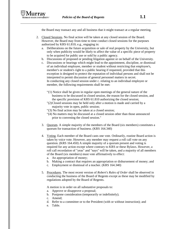

the Board may transact any and all business that it might transact at a regular meeting.

- 2. Closed Sessions. No final action will be taken at any closed session of the Board. However, the Board may from time to time conduct closed sessions for the purposes authorized by KRS 61.810; e.g., engaging in:
	- a. Deliberations on the future acquisition or sale of real property by the University, but only when publicity would be likely to affect the value of a specific piece of property to be acquired for public use or sold by a public agency.
	- b. Discussions of proposed or pending litigation against or on behalf of the University.
	- c. Discussions or hearings which might lead to the appointment, discipline, or dismissal of an individual employee, member or student without restricting that employee's, member's or student's right to a public hearing if requested, provided that this exception is designed to protect the reputation of individual persons and shall not be interpreted to permit discussion of general personnel matters in secret. In conducting any closed session under c. relating to an individual employee or member, the following requirements shall be met:
		- "(1) Notice shall be given in regular open meetings of the general nature of the business to be discussed in closed session, the reason for the closed session, and the specific provision of KRS 61.810 authorizing the closed session;
		- "(2)Closed sessions may be held only after a motion is made and carried by a majority vote in open, public session;
		- "(3) No final action may be taken at a closed session;
		- "(4) No matters may be discussed at a closed session other than those announced prior to convening the closed session."
	- 3. Quorum. A simple majority of the members of the Board (six members) constitutes a quorum for transaction of business. (KRS 164.340)
	- 4. Voting. Each member of the Board casts one vote. Ordinarily, routine Board action is taken by voice vote. However, any member may request a roll call vote on any question. (KRS 164.450) A simple majority of a quorum present and voting is required for any action except where contrary to KRS or these Bylaws. However, a roll call recordation of "yeas" and "nays" will be taken, and a majority of all members of the Board (six members) must vote affirmatively to effect:
		- a. An appropriation of money;
		- b. Making a contract that requires an appropriation or disbursement of money; and
		- c. Employment or dismissal of a teacher. (KRS 164.340)
	- 5. Procedures. The most recent version of *Robert's Rules of Order* shall be observed in conducting the business of the Board of Regents except as these may be modified by regulations adopted by the Board of Regents.

A motion is in order on all substantive proposals to:

- a. Approve or disapprove a proposal;
- b. Postpone consideration (temporarily or indefinitely);
- c. Amend;
- d. Refer to a committee or to the President (with or without instruction); and
- e. Table.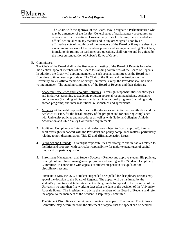

The Chair, with the approval of the Board, may designate a Parliamentarian who may be a member of the faculty. General rules of parliamentary procedures are observed at Board meetings. However, any rule of order may be suspended and official action taken in any manner and in any order agreed upon by an affirmative vote of two/thirds of the members of the Board or if any are absent by a unanimous consent of the members present and voting at a meeting. The Chair, in making his rulings on parliamentary questions, shall refer to and be guided by the most current edition of *Robert's Rules of Order*.

#### E. Committees.

The Chair of the Board shall, at the first regular meeting of the Board of Regents following his election, appoint members of the Board to standing committees of the Board of Regents. In addition, the Chair will appoint members to such special committees as the Board may from time to time deem appropriate. The Chair of the Board and the President of the University are ex-officio members of every Committee, except the President shall be a nonvoting member. The standing committees of the Board of Regents and their duties are:

- 1. Academic Excellence and Scholarly Activities Oversight responsibilities for strategies and initiatives pertaining to academic program approval recommendations, academic policy review (including admission standards), international programs (including study abroad programs) and inter-institutional relationships and agreements.
- 2. Athletics Oversight responsibilities for the strategies and initiatives for athletics and the Athletics Mission, for the fiscal integrity of the program and for ensuring compliance with University policies and procedures as well as with National Collegiate Athletic Association and Ohio Valley Conference requirements.
- 3. Audit and Compliance External audit selection (subject to Board approval), internal audit oversight (in concert with the President) and policy compliance matters, particularly relating to non-discrimination, Title IX and affirmative action issues.
- 4. Buildings and Grounds Oversight responsibilities for strategies and initiatives related to facilities and property, with particular responsibility for major expenditures of capital funds and property acquisition.
- 5. Enrollment Management and Student Success Review and approve student life policies, oversight of enrollment management programs and serving as the "Student Disciplinary Committee" in connection with appeals of student suspension or expulsion for disciplinary reasons.

Pursuant to KRS 164.370, a student suspended or expelled for disciplinary reasons may appeal the decision to the Board of Regents. The appeal will be instituted by the student's presenting a detailed statement of the grounds for appeal to the President of the University no later than five working days after the date of the decision of the University Appeals Board. The President will advise the members of the Board of Regents and refer the appeal to the members of the Student Disciplinary Committee.

The Student Disciplinary Committee will review the appeal. The Student Disciplinary Committee may determine from the statement of appeal that the appeal can be decided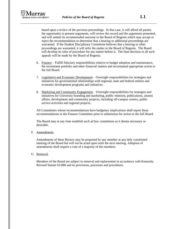

based upon a review of the previous proceedings. In that case, it will afford all parties the opportunity to present arguments, will review the record and the arguments presented, and will submit its recommended outcome to the Board of Regents which may accept or reject the recommendation or determine that a hearing or additional proceedings are warranted. If the Student Disciplinary Committee believes that a hearing or other proceedings are warranted, it will refer the matter to the Board of Regents. The Board will develop its rules of procedure for any matter before it. The final decision in all such appeals will be made by the Board of Regents.

- 6. Finance Fulfill fiduciary responsibilities relative to budget adoption and maintenance, the investment portfolio and other financial matters and recommend appropriate action to the full Board.
- 7. Legislative and Economic Development Oversight responsibilities for strategies and initiatives for governmental relationships with regional, state and federal entities and economic development programs and initiatives.
- 8. Marketing and Community Engagement Oversight responsibilities for strategies and initiatives for University branding and marketing, public relations, publications, alumni affairs, development and community projects, including off-campus centers, public service activities and regional projects.

All Committees whose recommendations have budgetary implications shall report those recommendations to the Finance Committee prior to submission for action to the full Board.

The Board may at any time establish such ad hoc committees as it deems necessary or desirable.

F. Amendments.

Amendments of these Bylaws may be proposed by any member at any duly constituted meeting of the Board but will not be acted upon until the next meeting. Adoption of amendments shall require a vote of a majority of the members.

G. Removal.

Members of the Board are subject to removal and replacement in accordance with Kentucky Revised Statute 63.080 and its provisions, processes and procedures.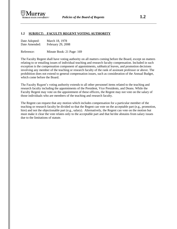

#### **1.2 SUBJECT: FACULTY REGENT VOTING AUTHORITY**

| Date Adopted: | March 18, 1978    |
|---------------|-------------------|
| Date Amended: | February 29, 2008 |

Reference: Minute Book: 21 Page: 169

The Faculty Regent shall have voting authority on all matters coming before the Board, except on matters relating to or entailing issues of individual teaching and research faculty compensation. Included in such exception is the compensation component of appointments, sabbatical leaves, and promotion decisions involving any member of the teaching or research faculty of the rank of assistant professor or above. The prohibition does not extend to general compensation issues, such as consideration of the Annual Budget, which come before the Board.

The Faculty Regent's voting authority extends to all other personnel items related to the teaching and research faculty including the appointments of the President, Vice Presidents, and Deans. While the Faculty Regent may vote on the appointment of these officers, the Regent may not vote on the salary of those individuals who are members of the teaching and research faculty.

The Regent can request that any motion which includes compensation for a particular member of the teaching or research faculty be divided so that the Regent can vote on the acceptable part (e.g., promotion, hire) and not the objectionable part (e.g., salary). Alternatively, the Regent can vote on the motion but must make it clear the vote relates only to the acceptable part and that he/she abstains from salary issues due to the limitations of statute.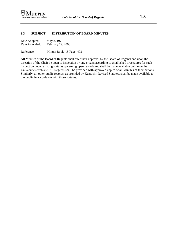

#### **1.3 SUBJECT: DISTRIBUTION OF BOARD MINUTES**

| Date Adopted: | May 8, 1971       |
|---------------|-------------------|
| Date Amended: | February 29, 2008 |

Reference: Minute Book: 15 Page: 403

All Minutes of the Board of Regents shall after their approval by the Board of Regents and upon the direction of the Chair be open to inspection by any citizen according to established procedures for such inspection under existing statutes governing open records and shall be made available online on the University's web site. All Regents shall be provided with approved copies of all Minutes of their actions. Similarly, all other public records, as provided by Kentucky Revised Statutes, shall be made available to the public in accordance with those statutes.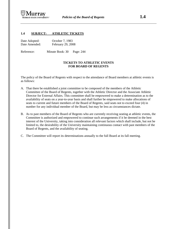

#### **1.4 SUBJECT: ATHLETIC TICKETS**

| Date Adopted: | October 7, 1983   |
|---------------|-------------------|
| Date Amended: | February 29, 2008 |

Reference: Minute Book: 30 Page: 244

#### **TICKETS TO ATHLETIC EVENTS FOR BOARD OF REGENTS**

The policy of the Board of Regents with respect to the attendance of Board members at athletic events is as follows:

- A. That there be established a joint committee to be composed of the members of the Athletic Committee of the Board of Regents, together with the Athletic Director and the Associate Athletic Director for External Affairs. This committee shall be empowered to make a determination as to the availability of seats on a year-to-year basis and shall further be empowered to make allocations of seats to current and future members of the Board of Regents, said seats not to exceed four (4) in number for any individual member of the Board, but may be less as circumstances dictate.
- B. As to past members of the Board of Regents who are currently receiving seating at athletic events, the Committee is authorized and empowered to continue such arrangements if it be deemed in the best interest of the University, taking into consideration all relevant factors which shall include, but not be limited to, the desirability of the University maintaining continuous contact with past members of the Board of Regents, and the availability of seating.
- C. The Committee will report its determinations annually to the full Board at its fall meeting.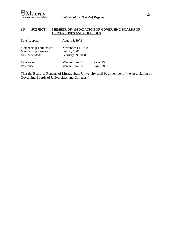

# **1.5 SUBJECT: MEMBER OF ASSOCIATION OF GOVERNING BOARDS OF UNIVERSITIES AND COLLEGES**

| Date Adopted:                                                  | August 4, 1972                                         |                       |
|----------------------------------------------------------------|--------------------------------------------------------|-----------------------|
| Membership Terminated:<br>Membership Renewed:<br>Date Amended: | November 14, 1992<br>January 2007<br>February 29, 2008 |                       |
| Reference:<br>Reference:                                       | Minute Book: 16<br>Minute Book: 53                     | Page: 158<br>Page: 28 |

That the Board of Regents of Murray State University shall be a member of the Association of Governing Boards of Universities and Colleges.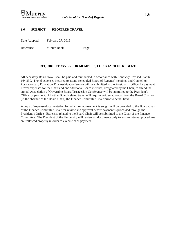

# **1.6 SUBJECT: REQUIRED TRAVEL**

Date Adopted: February 27, 2015

Reference: Minute Book: Page:

# **REQUIRED TRAVEL FOR MEMBERS, FOR BOARD OF REGENTS**

All necessary Board travel shall be paid and reimbursed in accordance with Kentucky Revised Statute 164.330. Travel expenses incurred to attend scheduled Board of Regents' meetings and Council on Postsecondary Education Trusteeship Conference will be submitted to the President's Office for payment. Travel expenses for the Chair and one additional Board member, designated by the Chair, to attend the annual Association of Governing Board Trusteeship Conference will be submitted to the President's Office for payment. All other Board-related travel will require written approval from the Board Chair or (in the absence of the Board Chair) the Finance Committee Chair prior to actual travel.

A copy of expense documentation for which reimbursement is sought will be provided to the Board Chair or the Finance Committee Chair for review and approval before payment is processed through the President's Office. Expenses related to the Board Chair will be submitted to the Chair of the Finance Committee. The President of the University will review all documents only to ensure internal procedures are followed properly in order to execute each payment.